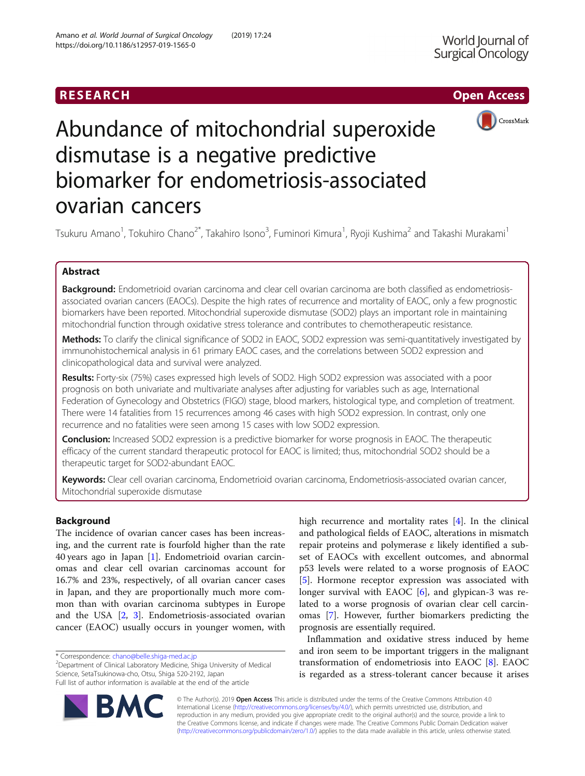# RESEARCH **RESEARCH CHOOSE ACCESS**



# Abundance of mitochondrial superoxide dismutase is a negative predictive biomarker for endometriosis-associated ovarian cancers

Tsukuru Amano<sup>1</sup>, Tokuhiro Chano<sup>2\*</sup>, Takahiro Isono<sup>3</sup>, Fuminori Kimura<sup>1</sup>, Ryoji Kushima<sup>2</sup> and Takashi Murakami<sup>1</sup>

# Abstract

Background: Endometrioid ovarian carcinoma and clear cell ovarian carcinoma are both classified as endometriosisassociated ovarian cancers (EAOCs). Despite the high rates of recurrence and mortality of EAOC, only a few prognostic biomarkers have been reported. Mitochondrial superoxide dismutase (SOD2) plays an important role in maintaining mitochondrial function through oxidative stress tolerance and contributes to chemotherapeutic resistance.

Methods: To clarify the clinical significance of SOD2 in EAOC, SOD2 expression was semi-quantitatively investigated by immunohistochemical analysis in 61 primary EAOC cases, and the correlations between SOD2 expression and clinicopathological data and survival were analyzed.

Results: Forty-six (75%) cases expressed high levels of SOD2. High SOD2 expression was associated with a poor prognosis on both univariate and multivariate analyses after adjusting for variables such as age, International Federation of Gynecology and Obstetrics (FIGO) stage, blood markers, histological type, and completion of treatment. There were 14 fatalities from 15 recurrences among 46 cases with high SOD2 expression. In contrast, only one recurrence and no fatalities were seen among 15 cases with low SOD2 expression.

**Conclusion:** Increased SOD2 expression is a predictive biomarker for worse prognosis in EAOC. The therapeutic efficacy of the current standard therapeutic protocol for EAOC is limited; thus, mitochondrial SOD2 should be a therapeutic target for SOD2-abundant EAOC.

Keywords: Clear cell ovarian carcinoma, Endometrioid ovarian carcinoma, Endometriosis-associated ovarian cancer, Mitochondrial superoxide dismutase

# Background

The incidence of ovarian cancer cases has been increasing, and the current rate is fourfold higher than the rate 40 years ago in Japan [\[1](#page-5-0)]. Endometrioid ovarian carcinomas and clear cell ovarian carcinomas account for 16.7% and 23%, respectively, of all ovarian cancer cases in Japan, and they are proportionally much more common than with ovarian carcinoma subtypes in Europe and the USA [\[2](#page-5-0), [3\]](#page-5-0). Endometriosis-associated ovarian cancer (EAOC) usually occurs in younger women, with

Department of Clinical Laboratory Medicine, Shiga University of Medical Science, SetaTsukinowa-cho, Otsu, Shiga 520-2192, Japan Full list of author information is available at the end of the article



high recurrence and mortality rates [\[4](#page-5-0)]. In the clinical and pathological fields of EAOC, alterations in mismatch repair proteins and polymerase ε likely identified a subset of EAOCs with excellent outcomes, and abnormal p53 levels were related to a worse prognosis of EAOC [[5\]](#page-5-0). Hormone receptor expression was associated with longer survival with EAOC [\[6](#page-5-0)], and glypican-3 was related to a worse prognosis of ovarian clear cell carcinomas [[7\]](#page-5-0). However, further biomarkers predicting the prognosis are essentially required.

Inflammation and oxidative stress induced by heme and iron seem to be important triggers in the malignant transformation of endometriosis into EAOC [\[8](#page-5-0)]. EAOC is regarded as a stress-tolerant cancer because it arises

© The Author(s). 2019 Open Access This article is distributed under the terms of the Creative Commons Attribution 4.0 International License [\(http://creativecommons.org/licenses/by/4.0/](http://creativecommons.org/licenses/by/4.0/)), which permits unrestricted use, distribution, and reproduction in any medium, provided you give appropriate credit to the original author(s) and the source, provide a link to the Creative Commons license, and indicate if changes were made. The Creative Commons Public Domain Dedication waiver [\(http://creativecommons.org/publicdomain/zero/1.0/](http://creativecommons.org/publicdomain/zero/1.0/)) applies to the data made available in this article, unless otherwise stated.

<sup>\*</sup> Correspondence: [chano@belle.shiga-med.ac.jp](mailto:chano@belle.shiga-med.ac.jp) <sup>2</sup>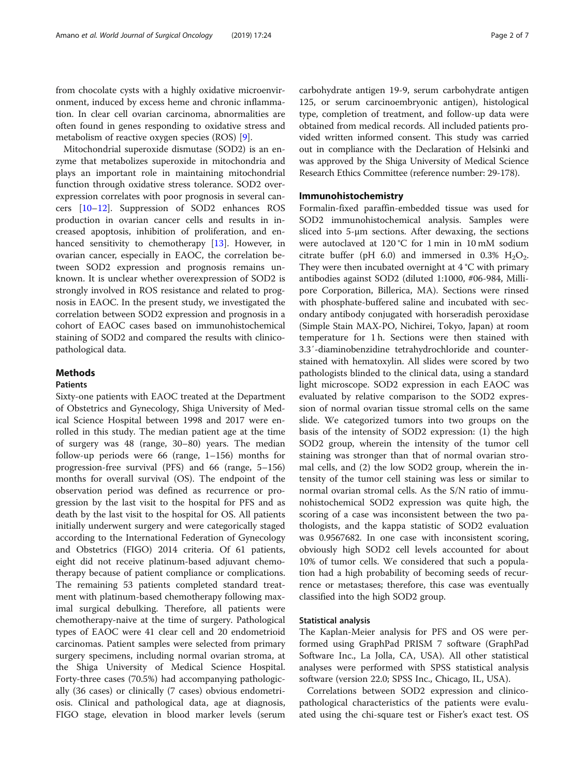from chocolate cysts with a highly oxidative microenvironment, induced by excess heme and chronic inflammation. In clear cell ovarian carcinoma, abnormalities are often found in genes responding to oxidative stress and metabolism of reactive oxygen species (ROS) [[9\]](#page-5-0).

Mitochondrial superoxide dismutase (SOD2) is an enzyme that metabolizes superoxide in mitochondria and plays an important role in maintaining mitochondrial function through oxidative stress tolerance. SOD2 overexpression correlates with poor prognosis in several cancers [[10](#page-5-0)–[12](#page-5-0)]. Suppression of SOD2 enhances ROS production in ovarian cancer cells and results in increased apoptosis, inhibition of proliferation, and enhanced sensitivity to chemotherapy [\[13\]](#page-5-0). However, in ovarian cancer, especially in EAOC, the correlation between SOD2 expression and prognosis remains unknown. It is unclear whether overexpression of SOD2 is strongly involved in ROS resistance and related to prognosis in EAOC. In the present study, we investigated the correlation between SOD2 expression and prognosis in a cohort of EAOC cases based on immunohistochemical staining of SOD2 and compared the results with clinicopathological data.

## Methods

## Patients

Sixty-one patients with EAOC treated at the Department of Obstetrics and Gynecology, Shiga University of Medical Science Hospital between 1998 and 2017 were enrolled in this study. The median patient age at the time of surgery was 48 (range, 30–80) years. The median follow-up periods were 66 (range, 1–156) months for progression-free survival (PFS) and 66 (range, 5–156) months for overall survival (OS). The endpoint of the observation period was defined as recurrence or progression by the last visit to the hospital for PFS and as death by the last visit to the hospital for OS. All patients initially underwent surgery and were categorically staged according to the International Federation of Gynecology and Obstetrics (FIGO) 2014 criteria. Of 61 patients, eight did not receive platinum-based adjuvant chemotherapy because of patient compliance or complications. The remaining 53 patients completed standard treatment with platinum-based chemotherapy following maximal surgical debulking. Therefore, all patients were chemotherapy-naive at the time of surgery. Pathological types of EAOC were 41 clear cell and 20 endometrioid carcinomas. Patient samples were selected from primary surgery specimens, including normal ovarian stroma, at the Shiga University of Medical Science Hospital. Forty-three cases (70.5%) had accompanying pathologically (36 cases) or clinically (7 cases) obvious endometriosis. Clinical and pathological data, age at diagnosis, FIGO stage, elevation in blood marker levels (serum carbohydrate antigen 19-9, serum carbohydrate antigen 125, or serum carcinoembryonic antigen), histological type, completion of treatment, and follow-up data were obtained from medical records. All included patients provided written informed consent. This study was carried out in compliance with the Declaration of Helsinki and was approved by the Shiga University of Medical Science Research Ethics Committee (reference number: 29-178).

## Immunohistochemistry

Formalin-fixed paraffin-embedded tissue was used for SOD2 immunohistochemical analysis. Samples were sliced into 5-μm sections. After dewaxing, the sections were autoclaved at 120 °C for 1 min in 10 mM sodium citrate buffer (pH 6.0) and immersed in 0.3%  $H_2O_2$ . They were then incubated overnight at 4 °C with primary antibodies against SOD2 (diluted 1:1000, #06-984, Millipore Corporation, Billerica, MA). Sections were rinsed with phosphate-buffered saline and incubated with secondary antibody conjugated with horseradish peroxidase (Simple Stain MAX-PO, Nichirei, Tokyo, Japan) at room temperature for 1 h. Sections were then stained with 3.3′-diaminobenzidine tetrahydrochloride and counterstained with hematoxylin. All slides were scored by two pathologists blinded to the clinical data, using a standard light microscope. SOD2 expression in each EAOC was evaluated by relative comparison to the SOD2 expression of normal ovarian tissue stromal cells on the same slide. We categorized tumors into two groups on the basis of the intensity of SOD2 expression: (1) the high SOD2 group, wherein the intensity of the tumor cell staining was stronger than that of normal ovarian stromal cells, and (2) the low SOD2 group, wherein the intensity of the tumor cell staining was less or similar to normal ovarian stromal cells. As the S/N ratio of immunohistochemical SOD2 expression was quite high, the scoring of a case was inconsistent between the two pathologists, and the kappa statistic of SOD2 evaluation was 0.9567682. In one case with inconsistent scoring, obviously high SOD2 cell levels accounted for about 10% of tumor cells. We considered that such a population had a high probability of becoming seeds of recurrence or metastases; therefore, this case was eventually classified into the high SOD2 group.

## Statistical analysis

The Kaplan-Meier analysis for PFS and OS were performed using GraphPad PRISM 7 software (GraphPad Software Inc., La Jolla, CA, USA). All other statistical analyses were performed with SPSS statistical analysis software (version 22.0; SPSS Inc., Chicago, IL, USA).

Correlations between SOD2 expression and clinicopathological characteristics of the patients were evaluated using the chi-square test or Fisher's exact test. OS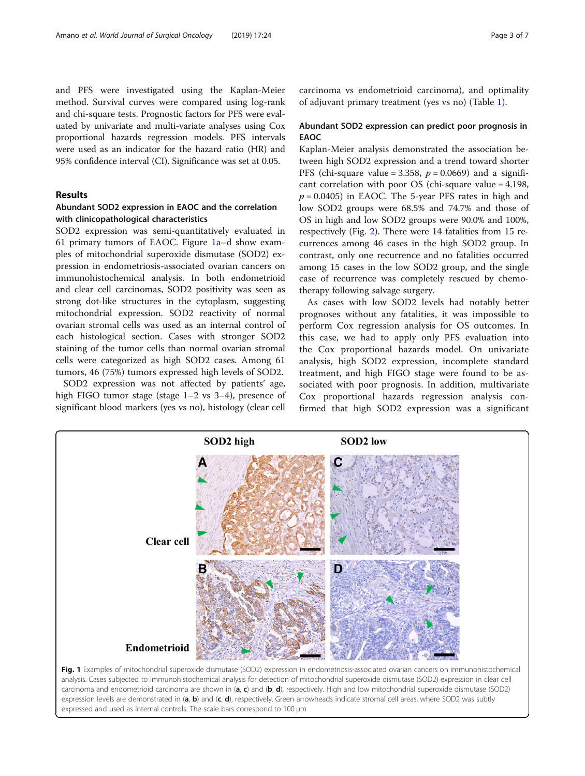and PFS were investigated using the Kaplan-Meier method. Survival curves were compared using log-rank and chi-square tests. Prognostic factors for PFS were evaluated by univariate and multi-variate analyses using Cox proportional hazards regression models. PFS intervals were used as an indicator for the hazard ratio (HR) and 95% confidence interval (CI). Significance was set at 0.05.

## Results

## Abundant SOD2 expression in EAOC and the correlation with clinicopathological characteristics

SOD2 expression was semi-quantitatively evaluated in 61 primary tumors of EAOC. Figure 1a–d show examples of mitochondrial superoxide dismutase (SOD2) expression in endometriosis-associated ovarian cancers on immunohistochemical analysis. In both endometrioid and clear cell carcinomas, SOD2 positivity was seen as strong dot-like structures in the cytoplasm, suggesting mitochondrial expression. SOD2 reactivity of normal ovarian stromal cells was used as an internal control of each histological section. Cases with stronger SOD2 staining of the tumor cells than normal ovarian stromal cells were categorized as high SOD2 cases. Among 61 tumors, 46 (75%) tumors expressed high levels of SOD2.

SOD2 expression was not affected by patients' age, high FIGO tumor stage (stage 1–2 vs 3–4), presence of significant blood markers (yes vs no), histology (clear cell carcinoma vs endometrioid carcinoma), and optimality of adjuvant primary treatment (yes vs no) (Table [1](#page-3-0)).

## Abundant SOD2 expression can predict poor prognosis in EAOC

Kaplan-Meier analysis demonstrated the association between high SOD2 expression and a trend toward shorter PFS (chi-square value = 3.358,  $p = 0.0669$ ) and a significant correlation with poor OS (chi-square value = 4.198,  $p = 0.0405$ ) in EAOC. The 5-year PFS rates in high and low SOD2 groups were 68.5% and 74.7% and those of OS in high and low SOD2 groups were 90.0% and 100%, respectively (Fig. [2](#page-4-0)). There were 14 fatalities from 15 recurrences among 46 cases in the high SOD2 group. In contrast, only one recurrence and no fatalities occurred among 15 cases in the low SOD2 group, and the single case of recurrence was completely rescued by chemotherapy following salvage surgery.

As cases with low SOD2 levels had notably better prognoses without any fatalities, it was impossible to perform Cox regression analysis for OS outcomes. In this case, we had to apply only PFS evaluation into the Cox proportional hazards model. On univariate analysis, high SOD2 expression, incomplete standard treatment, and high FIGO stage were found to be associated with poor prognosis. In addition, multivariate Cox proportional hazards regression analysis confirmed that high SOD2 expression was a significant



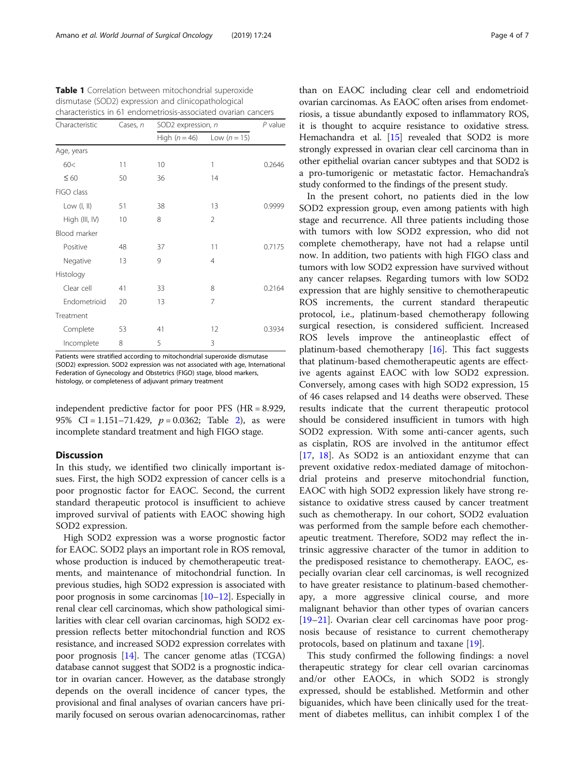| characteristics in 61 endometriosis-associated ovarian cancers |          |                    |                |        |  |  |  |
|----------------------------------------------------------------|----------|--------------------|----------------|--------|--|--|--|
| Characteristic                                                 | Cases, n | SOD2 expression, n | $P$ value      |        |  |  |  |
|                                                                |          | High $(n = 46)$    | Low $(n=15)$   |        |  |  |  |
| Age, years                                                     |          |                    |                |        |  |  |  |
| 60<                                                            | 11       | 10                 | 1              | 0.2646 |  |  |  |
| $\leq 60$                                                      | 50       | 36                 | 14             |        |  |  |  |
| FIGO class                                                     |          |                    |                |        |  |  |  |
| Low $(l, ll)$                                                  | 51       | 38                 | 13             | 0.9999 |  |  |  |
| High (III, IV)                                                 | 10       | 8                  | $\mathfrak{D}$ |        |  |  |  |
| Blood marker                                                   |          |                    |                |        |  |  |  |
| Positive                                                       | 48       | 37                 | 11             | 0.7175 |  |  |  |
| Negative                                                       | 13       | 9                  | $\overline{4}$ |        |  |  |  |
| Histology                                                      |          |                    |                |        |  |  |  |
| Clear cell                                                     | 41       | 33                 | 8              | 0.2164 |  |  |  |
| Endometrioid                                                   | 20       | 13                 | 7              |        |  |  |  |
| Treatment                                                      |          |                    |                |        |  |  |  |
| Complete                                                       | 53       | 41                 | 12             | 0.3934 |  |  |  |
| Incomplete                                                     | 8        | 5                  | 3              |        |  |  |  |

<span id="page-3-0"></span>Table 1 Correlation between mitochondrial superoxide dismutase (SOD2) expression and clinicopathological

Patients were stratified according to mitochondrial superoxide dismutase (SOD2) expression. SOD2 expression was not associated with age, International Federation of Gynecology and Obstetrics (FIGO) stage, blood markers, histology, or completeness of adjuvant primary treatment

independent predictive factor for poor PFS (HR = 8.929, 95% CI = 1.151–71.4[2](#page-4-0)9,  $p = 0.0362$ ; Table 2), as were incomplete standard treatment and high FIGO stage.

## **Discussion**

In this study, we identified two clinically important issues. First, the high SOD2 expression of cancer cells is a poor prognostic factor for EAOC. Second, the current standard therapeutic protocol is insufficient to achieve improved survival of patients with EAOC showing high SOD2 expression.

High SOD2 expression was a worse prognostic factor for EAOC. SOD2 plays an important role in ROS removal, whose production is induced by chemotherapeutic treatments, and maintenance of mitochondrial function. In previous studies, high SOD2 expression is associated with poor prognosis in some carcinomas [\[10](#page-5-0)–[12](#page-5-0)]. Especially in renal clear cell carcinomas, which show pathological similarities with clear cell ovarian carcinomas, high SOD2 expression reflects better mitochondrial function and ROS resistance, and increased SOD2 expression correlates with poor prognosis [[14](#page-5-0)]. The cancer genome atlas (TCGA) database cannot suggest that SOD2 is a prognostic indicator in ovarian cancer. However, as the database strongly depends on the overall incidence of cancer types, the provisional and final analyses of ovarian cancers have primarily focused on serous ovarian adenocarcinomas, rather than on EAOC including clear cell and endometrioid ovarian carcinomas. As EAOC often arises from endometriosis, a tissue abundantly exposed to inflammatory ROS, it is thought to acquire resistance to oxidative stress. Hemachandra et al. [\[15\]](#page-5-0) revealed that SOD2 is more strongly expressed in ovarian clear cell carcinoma than in other epithelial ovarian cancer subtypes and that SOD2 is a pro-tumorigenic or metastatic factor. Hemachandra's study conformed to the findings of the present study.

In the present cohort, no patients died in the low SOD2 expression group, even among patients with high stage and recurrence. All three patients including those with tumors with low SOD2 expression, who did not complete chemotherapy, have not had a relapse until now. In addition, two patients with high FIGO class and tumors with low SOD2 expression have survived without any cancer relapses. Regarding tumors with low SOD2 expression that are highly sensitive to chemotherapeutic ROS increments, the current standard therapeutic protocol, i.e., platinum-based chemotherapy following surgical resection, is considered sufficient. Increased ROS levels improve the antineoplastic effect of platinum-based chemotherapy [\[16\]](#page-5-0). This fact suggests that platinum-based chemotherapeutic agents are effective agents against EAOC with low SOD2 expression. Conversely, among cases with high SOD2 expression, 15 of 46 cases relapsed and 14 deaths were observed. These results indicate that the current therapeutic protocol should be considered insufficient in tumors with high SOD2 expression. With some anti-cancer agents, such as cisplatin, ROS are involved in the antitumor effect [[17,](#page-5-0) [18\]](#page-6-0). As SOD2 is an antioxidant enzyme that can prevent oxidative redox-mediated damage of mitochondrial proteins and preserve mitochondrial function, EAOC with high SOD2 expression likely have strong resistance to oxidative stress caused by cancer treatment such as chemotherapy. In our cohort, SOD2 evaluation was performed from the sample before each chemotherapeutic treatment. Therefore, SOD2 may reflect the intrinsic aggressive character of the tumor in addition to the predisposed resistance to chemotherapy. EAOC, especially ovarian clear cell carcinomas, is well recognized to have greater resistance to platinum-based chemotherapy, a more aggressive clinical course, and more malignant behavior than other types of ovarian cancers [[19](#page-6-0)–[21](#page-6-0)]. Ovarian clear cell carcinomas have poor prognosis because of resistance to current chemotherapy protocols, based on platinum and taxane [\[19\]](#page-6-0).

This study confirmed the following findings: a novel therapeutic strategy for clear cell ovarian carcinomas and/or other EAOCs, in which SOD2 is strongly expressed, should be established. Metformin and other biguanides, which have been clinically used for the treatment of diabetes mellitus, can inhibit complex I of the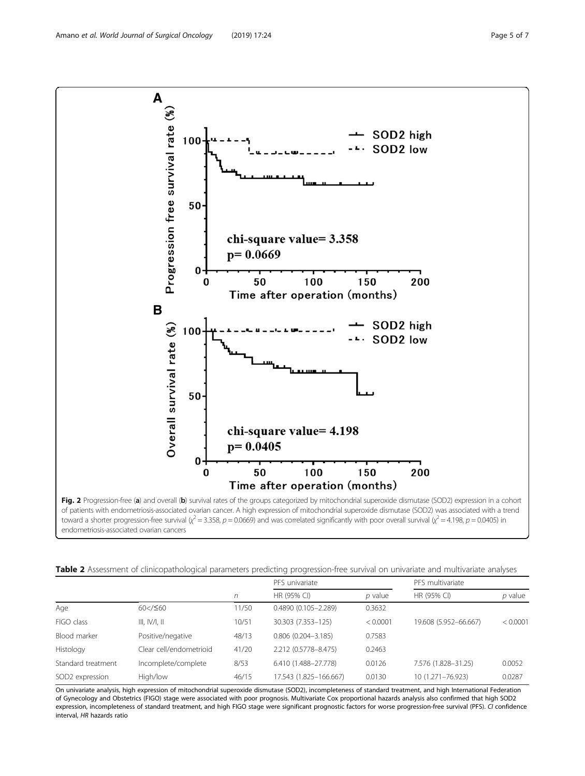<span id="page-4-0"></span>

toward a shorter progression-free survival ( $\chi^2$  = 3.358, p = 0.0669) and was correlated significantly with poor overall survival ( $\chi^2$  = 4.198, p = 0.0405) in endometriosis-associated ovarian cancers

|  | Table 2 Assessment of clinicopathological parameters predicting progression-free survival on univariate and multivariate analyses |  |
|--|-----------------------------------------------------------------------------------------------------------------------------------|--|
|  |                                                                                                                                   |  |

|                             |                         |       | PFS univariate          |           | PFS multivariate      |           |
|-----------------------------|-------------------------|-------|-------------------------|-----------|-----------------------|-----------|
|                             |                         | n     | HR (95% CI)             | $p$ value | HR (95% CI)           | $p$ value |
| Age                         | 60 < / 560              | 11/50 | $0.4890(0.105 - 2.289)$ | 0.3632    |                       |           |
| FIGO class                  | III, IV/I, II           | 10/51 | 30.303 (7.353-125)      | < 0.0001  | 19.608 (5.952-66.667) | < 0.0001  |
| Blood marker                | Positive/negative       | 48/13 | $0.806(0.204 - 3.185)$  | 0.7583    |                       |           |
| Histology                   | Clear cell/endometrioid | 41/20 | 2.212 (0.5778-8.475)    | 0.2463    |                       |           |
| Standard treatment          | Incomplete/complete     | 8/53  | 6.410 (1.488-27.778)    | 0.0126    | 7.576 (1.828-31.25)   | 0.0052    |
| SOD <sub>2</sub> expression | High/low                | 46/15 | 17.543 (1.825-166.667)  | 0.0130    | 10 (1.271-76.923)     | 0.0287    |

On univariate analysis, high expression of mitochondrial superoxide dismutase (SOD2), incompleteness of standard treatment, and high International Federation of Gynecology and Obstetrics (FIGO) stage were associated with poor prognosis. Multivariate Cox proportional hazards analysis also confirmed that high SOD2 expression, incompleteness of standard treatment, and high FIGO stage were significant prognostic factors for worse progression-free survival (PFS). CI confidence interval, HR hazards ratio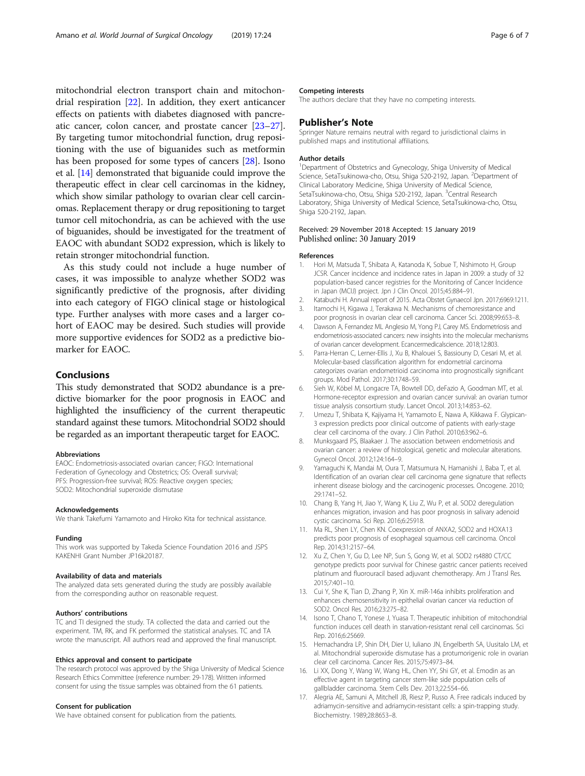<span id="page-5-0"></span>mitochondrial electron transport chain and mitochondrial respiration [\[22](#page-6-0)]. In addition, they exert anticancer effects on patients with diabetes diagnosed with pancreatic cancer, colon cancer, and prostate cancer [[23](#page-6-0)–[27](#page-6-0)]. By targeting tumor mitochondrial function, drug repositioning with the use of biguanides such as metformin has been proposed for some types of cancers [[28\]](#page-6-0). Isono et al. [14] demonstrated that biguanide could improve the therapeutic effect in clear cell carcinomas in the kidney, which show similar pathology to ovarian clear cell carcinomas. Replacement therapy or drug repositioning to target tumor cell mitochondria, as can be achieved with the use of biguanides, should be investigated for the treatment of EAOC with abundant SOD2 expression, which is likely to retain stronger mitochondrial function.

As this study could not include a huge number of cases, it was impossible to analyze whether SOD2 was significantly predictive of the prognosis, after dividing into each category of FIGO clinical stage or histological type. Further analyses with more cases and a larger cohort of EAOC may be desired. Such studies will provide more supportive evidences for SOD2 as a predictive biomarker for EAOC.

### Conclusions

This study demonstrated that SOD2 abundance is a predictive biomarker for the poor prognosis in EAOC and highlighted the insufficiency of the current therapeutic standard against these tumors. Mitochondrial SOD2 should be regarded as an important therapeutic target for EAOC.

#### Abbreviations

EAOC: Endometriosis-associated ovarian cancer; FIGO: International Federation of Gynecology and Obstetrics; OS: Overall survival; PFS: Progression-free survival; ROS: Reactive oxygen species; SOD2: Mitochondrial superoxide dismutase

#### Acknowledgements

We thank Takefumi Yamamoto and Hiroko Kita for technical assistance

#### Funding

This work was supported by Takeda Science Foundation 2016 and JSPS KAKENHI Grant Number JP16k20187.

#### Availability of data and materials

The analyzed data sets generated during the study are possibly available from the corresponding author on reasonable request.

#### Authors' contributions

TC and TI designed the study. TA collected the data and carried out the experiment. TM, RK, and FK performed the statistical analyses. TC and TA wrote the manuscript. All authors read and approved the final manuscript.

#### Ethics approval and consent to participate

The research protocol was approved by the Shiga University of Medical Science Research Ethics Committee (reference number: 29-178). Written informed consent for using the tissue samples was obtained from the 61 patients.

#### Consent for publication

We have obtained consent for publication from the patients.

#### Competing interests

The authors declare that they have no competing interests.

#### Publisher's Note

Springer Nature remains neutral with regard to jurisdictional claims in published maps and institutional affiliations.

#### Author details

<sup>1</sup>Department of Obstetrics and Gynecology, Shiga University of Medical Science, SetaTsukinowa-cho, Otsu, Shiga 520-2192, Japan. <sup>2</sup>Department of Clinical Laboratory Medicine, Shiga University of Medical Science, SetaTsukinowa-cho, Otsu, Shiga 520-2192, Japan. <sup>3</sup>Central Research Laboratory, Shiga University of Medical Science, SetaTsukinowa-cho, Otsu, Shiga 520-2192, Japan.

#### Received: 29 November 2018 Accepted: 15 January 2019 Published online: 30 January 2019

#### References

- 1. Hori M, Matsuda T, Shibata A, Katanoda K, Sobue T, Nishimoto H, Group JCSR. Cancer incidence and incidence rates in Japan in 2009: a study of 32 population-based cancer registries for the Monitoring of Cancer Incidence in Japan (MCIJ) project. Jpn J Clin Oncol. 2015;45:884–91.
- Katabuchi H. Annual report of 2015. Acta Obstet Gynaecol Jpn. 2017;6969:1211.
- 3. Itamochi H, Kigawa J, Terakawa N. Mechanisms of chemoresistance and poor prognosis in ovarian clear cell carcinoma. Cancer Sci. 2008;99:653–8.
- 4. Dawson A, Fernandez ML Anglesio M, Yong PJ, Carey MS. Endometriosis and endometriosis-associated cancers: new insights into the molecular mechanisms of ovarian cancer development. Ecancermedicalscience. 2018;12:803.
- 5. Parra-Herran C, Lerner-Ellis J, Xu B, Khalouei S, Bassiouny D, Cesari M, et al. Molecular-based classification algorithm for endometrial carcinoma categorizes ovarian endometrioid carcinoma into prognostically significant groups. Mod Pathol. 2017;30:1748–59.
- 6. Sieh W, Köbel M, Longacre TA, Bowtell DD, deFazio A, Goodman MT, et al. Hormone-receptor expression and ovarian cancer survival: an ovarian tumor tissue analysis consortium study. Lancet Oncol. 2013;14:853–62.
- 7. Umezu T, Shibata K, Kajiyama H, Yamamoto E, Nawa A, Kikkawa F. Glypican-3 expression predicts poor clinical outcome of patients with early-stage clear cell carcinoma of the ovary. J Clin Pathol. 2010;63:962–6.
- 8. Munksgaard PS, Blaakaer J. The association between endometriosis and ovarian cancer: a review of histological, genetic and molecular alterations. Gynecol Oncol. 2012;124:164–9.
- 9. Yamaguchi K, Mandai M, Oura T, Matsumura N, Hamanishi J, Baba T, et al. Identification of an ovarian clear cell carcinoma gene signature that reflects inherent disease biology and the carcinogenic processes. Oncogene. 2010; 29:1741–52.
- 10. Chang B, Yang H, Jiao Y, Wang K, Liu Z, Wu P, et al. SOD2 deregulation enhances migration, invasion and has poor prognosis in salivary adenoid cystic carcinoma. Sci Rep. 2016;6:25918.
- 11. Ma RL, Shen LY, Chen KN. Coexpression of ANXA2, SOD2 and HOXA13 predicts poor prognosis of esophageal squamous cell carcinoma. Oncol Rep. 2014;31:2157–64.
- 12. Xu Z, Chen Y, Gu D, Lee NP, Sun S, Gong W, et al. SOD2 rs4880 CT/CC genotype predicts poor survival for Chinese gastric cancer patients received platinum and fluorouracil based adjuvant chemotherapy. Am J Transl Res. 2015;7:401–10.
- 13. Cui Y, She K, Tian D, Zhang P, Xin X. miR-146a inhibits proliferation and enhances chemosensitivity in epithelial ovarian cancer via reduction of SOD2. Oncol Res. 2016;23:275–82.
- 14. Isono T, Chano T, Yonese J, Yuasa T. Therapeutic inhibition of mitochondrial function induces cell death in starvation-resistant renal cell carcinomas. Sci Rep. 2016;6:25669.
- 15. Hemachandra LP, Shin DH, Dier U, Iuliano JN, Engelberth SA, Uusitalo LM, et al. Mitochondrial superoxide dismutase has a protumorigenic role in ovarian clear cell carcinoma. Cancer Res. 2015;75:4973–84.
- 16. Li XX, Dong Y, Wang W, Wang HL, Chen YY, Shi GY, et al. Emodin as an effective agent in targeting cancer stem-like side population cells of gallbladder carcinoma. Stem Cells Dev. 2013;22:554–66.
- 17. Alegria AE, Samuni A, Mitchell JB, Riesz P, Russo A. Free radicals induced by adriamycin-sensitive and adriamycin-resistant cells: a spin-trapping study. Biochemistry. 1989;28:8653–8.